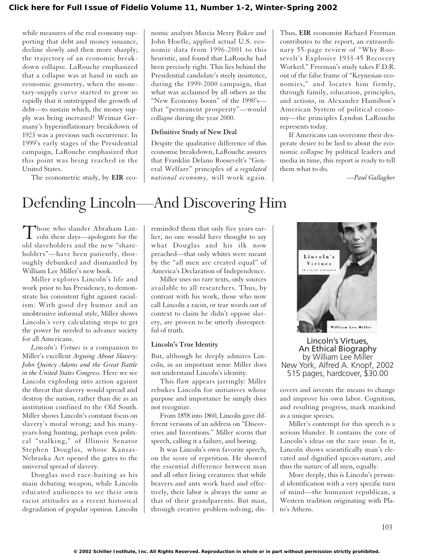while measures of the real economy supporting that debt and money issuance, decline slowly and then more sharply; the trajectory of an economic breakdown collapse. LaRouche emphasized that a collapse was at hand in such an economic geometry, when the monetary-supply curve started to grow so rapidly that it outstripped the growth of debt—to sustain which, the money supply was being increased! Weimar Germany's hyperinflationary breakdown of 1923 was a previous such occurrence. In 1999's early stages of the Presidential campaign, LaRouche emphasized that this point was being reached in the United States.

The econometric study, by **EIR** eco-

nomic analysts Marcia Merry Baker and John Hoefle, applied actual U.S. economic data from 1996-2001 to this heuristic, and found that LaRouche had been precisely right. This lies behind the Presidential candidate's steely insistence, during the 1999-2000 campaign, that what was acclaimed by all others as the "New Economy boom" of the 1990's that "permanent prosperity"—would collapse during the year 2000.

#### **Definitive Study of New Deal**

Despite the qualitative difference of this economic breakdown, LaRouche assures that Franklin Delano Roosevelt's "General Welfare" principles of a *regulated national economy,* will work again.

Thus, **EIR** economist Richard Freeman contributes to the report, an extraordinary 55-page review of "Why Roosevelt's Explosive 1933-45 Recovery Worked." Freeman's study takes F.D.R. out of the false frame of "Keynesian economics," and locates him firmly, through family, education, principles, and actions, in Alexander Hamilton's American System of political economy—the principles Lyndon LaRouche represents today.

If Americans can overcome their desperate desire to be lied to about the economic collapse by political leaders and media in time, this report is ready to tell them what to do.

*—Paul Gallagher*

# Defending Lincoln—And Discovering Him

Those who slander Abraham Lincoln these days—apologists for the old slaveholders and the new "shareholders"—have been patiently, thoroughly debunked and dismantled by William Lee Miller's new book.

Miller explores Lincoln's life and work prior to his Presidency, to demonstrate his consistent fight against racialism. With good dry humor and an unobtrusive informal style, Miller shows Lincoln's very calculating steps to get the power he needed to advance society for all Americans.

*Lincoln's Virtues* is a companion to Miller's excellent *Arguing About Slavery: John Quincy Adams and the Great Battle in the United States Congress.* Here we see Lincoln exploding into action against the threat that slavery would spread and destroy the nation, rather than die as an institution confined to the Old South. Miller shows Lincoln's constant focus on slavery's moral wrong; and his manyyears-long hunting, perhaps even political "stalking," of Illinois Senator Stephen Douglas, whose Kansas-Nebraska Act opened the gates to the universal spread of slavery.

Douglas used race-baiting as his main debating weapon, while Lincoln educated audiences to see their own racist attitudes as a recent historical degradation of popular opinion. Lincoln reminded them that only five years earlier, no one would have thought to say what Douglas and his ilk now preached—that only whites were meant by the "all men are created equal" of America's Declaration of Independence.

Miller uses no rare texts, only sources available to all researchers. Thus, by contrast with his work, those who now call Lincoln a racist, or tear words out of context to claim he didn't oppose slavery, are proven to be utterly disrespectful of truth.

#### **Lincoln's True Identity**

But, although he deeply admires Lincoln, in an important sense Miller does not understand Lincoln's identity.

This flaw appears jarringly: Miller rebukes Lincoln for initiatives whose purpose and importance he simply does not recognize.

From 1858 into 1860, Lincoln gave different versions of an address on "Discoveries and Inventions." Miller scorns that speech, calling it a failure, and boring.

It was Lincoln's own favorite speech, on the score of repetition. He showed the essential difference between man and all other living creatures: that while beavers and ants work hard and effectively, their labor is always the same as that of their grandparents. But man, through creative problem-solving, dis-



Lincoln's Virtues, An Ethical Biography by William Lee Miller New York, Alfred A. Knopf, 2002 515 pages, hardcover, \$30.00

covers and invents the means to change and improve his own labor. Cognition, and resulting progress, mark mankind as a unique species.

Miller's contempt for this speech is a serious blunder. It contains the core of Lincoln's ideas on the race issue. In it, Lincoln shows scientifically man's elevated and dignified species-nature, and thus the nature of all men, equally.

More deeply, this is Lincoln's personal identification with a very specific turn of mind—the humanist republican, a Western tradition originating with Plato's Athens.